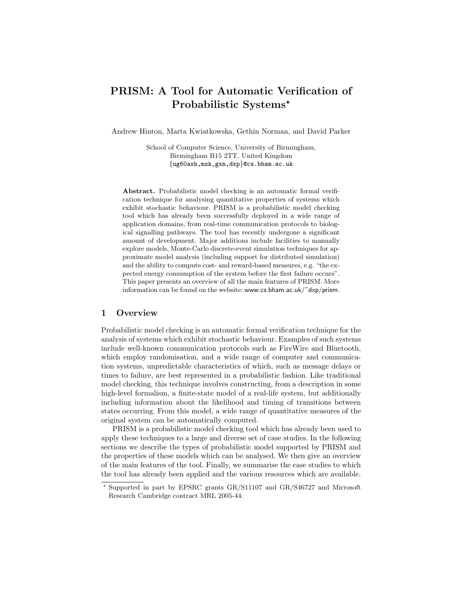# PRISM: A Tool for Automatic Verification of Probabilistic Systems\*

Andrew Hinton, Marta Kwiatkowska, Gethin Norman, and David Parker

School of Computer Science, University of Birmingham, Birmingham B15 2TT, United Kingdom {ug60axh,mzk,gxn,dxp}@cs.bham.ac.uk

Abstract. Probabilistic model checking is an automatic formal verification technique for analysing quantitative properties of systems which exhibit stochastic behaviour. PRISM is a probabilistic model checking tool which has already been successfully deployed in a wide range of application domains, from real-time communication protocols to biological signalling pathways. The tool has recently undergone a significant amount of development. Major additions include facilities to manually explore models, Monte-Carlo discrete-event simulation techniques for approximate model analysis (including support for distributed simulation) and the ability to compute cost- and reward-based measures, e.g. "the expected energy consumption of the system before the first failure occurs". This paper presents an overview of all the main features of PRISM. More information can be found on the website: www.cs.bham.ac.uk/˜dxp/prism.

# 1 Overview

Probabilistic model checking is an automatic formal verification technique for the analysis of systems which exhibit stochastic behaviour. Examples of such systems include well-known communication protocols such as FireWire and Bluetooth, which employ randomisation, and a wide range of computer and communication systems, unpredictable characteristics of which, such as message delays or times to failure, are best represented in a probabilistic fashion. Like traditional model checking, this technique involves constructing, from a description in some high-level formalism, a finite-state model of a real-life system, but additionally including information about the likelihood and timing of transitions between states occurring. From this model, a wide range of quantitative measures of the original system can be automatically computed.

PRISM is a probabilistic model checking tool which has already been used to apply these techniques to a large and diverse set of case studies. In the following sections we describe the types of probabilistic model supported by PRISM and the properties of these models which can be analysed. We then give an overview of the main features of the tool. Finally, we summarise the case studies to which the tool has already been applied and the various resources which are available.

<sup>?</sup> Supported in part by EPSRC grants GR/S11107 and GR/S46727 and Microsoft Research Cambridge contract MRL 2005-44.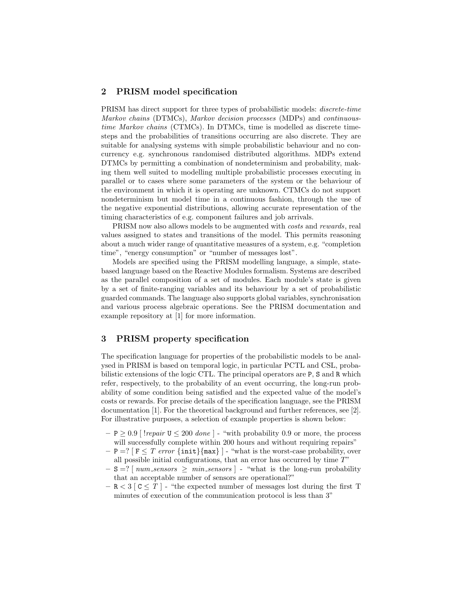## 2 PRISM model specification

PRISM has direct support for three types of probabilistic models: discrete-time Markov chains (DTMCs), Markov decision processes (MDPs) and continuoustime Markov chains (CTMCs). In DTMCs, time is modelled as discrete timesteps and the probabilities of transitions occurring are also discrete. They are suitable for analysing systems with simple probabilistic behaviour and no concurrency e.g. synchronous randomised distributed algorithms. MDPs extend DTMCs by permitting a combination of nondeterminism and probability, making them well suited to modelling multiple probabilistic processes executing in parallel or to cases where some parameters of the system or the behaviour of the environment in which it is operating are unknown. CTMCs do not support nondeterminism but model time in a continuous fashion, through the use of the negative exponential distributions, allowing accurate representation of the timing characteristics of e.g. component failures and job arrivals.

PRISM now also allows models to be augmented with costs and rewards, real values assigned to states and transitions of the model. This permits reasoning about a much wider range of quantitative measures of a system, e.g. "completion time", "energy consumption" or "number of messages lost".

Models are specified using the PRISM modelling language, a simple, statebased language based on the Reactive Modules formalism. Systems are described as the parallel composition of a set of modules. Each module's state is given by a set of finite-ranging variables and its behaviour by a set of probabilistic guarded commands. The language also supports global variables, synchronisation and various process algebraic operations. See the PRISM documentation and example repository at [1] for more information.

# 3 PRISM property specification

The specification language for properties of the probabilistic models to be analysed in PRISM is based on temporal logic, in particular PCTL and CSL, probabilistic extensions of the logic CTL. The principal operators are P, S and R which refer, respectively, to the probability of an event occurring, the long-run probability of some condition being satisfied and the expected value of the model's costs or rewards. For precise details of the specification language, see the PRISM documentation [1]. For the theoretical background and further references, see [2]. For illustrative purposes, a selection of example properties is shown below:

- $P \geq 0.9$  [ !*repair*  $U \leq 200$  *done* ] "with probability 0.9 or more, the process will successfully complete within 200 hours and without requiring repairs"
- $P = ? [F \leq T \text{ error } \{\text{init}\}$   $\{\text{max}\}$  "what is the worst-case probability, over all possible initial configurations, that an error has occurred by time  $T$ "
- $-$  S =? [ num\_sensors  $\geq$  min\_sensors ] "what is the long-run probability that an acceptable number of sensors are operational?"
- $-$  R  $<$  3 [C  $\leq$  T ] "the expected number of messages lost during the first T minutes of execution of the communication protocol is less than 3"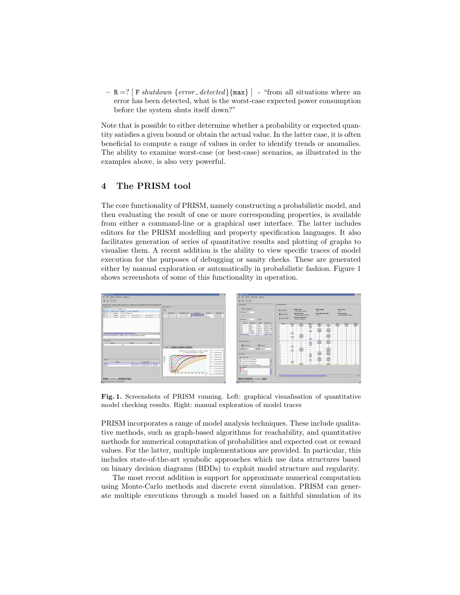$-$  R =? [F shutdown {error\_detected}{max}] - "from all situations where an error has been detected, what is the worst-case expected power consumption before the system shuts itself down?"

Note that is possible to either determine whether a probability or expected quantity satisfies a given bound or obtain the actual value. In the latter case, it is often beneficial to compute a range of values in order to identify trends or anomalies. The ability to examine worst-case (or best-case) scenarios, as illustrated in the examples above, is also very powerful.

# 4 The PRISM tool

The core functionality of PRISM, namely constructing a probabilistic model, and then evaluating the result of one or more corresponding properties, is available from either a command-line or a graphical user interface. The latter includes editors for the PRISM modelling and property specification languages. It also facilitates generation of series of quantitative results and plotting of graphs to visualise them. A recent addition is the ability to view specific traces of model execution for the purposes of debugging or sanity checks. These are generated either by manual exploration or automatically in probabilistic fashion. Figure 1 shows screenshots of some of this functionality in operation.



Fig. 1. Screenshots of PRISM running. Left: graphical visualisation of quantitative model checking results. Right: manual exploration of model traces

PRISM incorporates a range of model analysis techniques. These include qualitative methods, such as graph-based algorithms for reachability, and quantitative methods for numerical computation of probabilities and expected cost or reward values. For the latter, multiple implementations are provided. In particular, this includes state-of-the-art symbolic approaches which use data structures based on binary decision diagrams (BDDs) to exploit model structure and regularity.

The most recent addition is support for approximate numerical computation using Monte-Carlo methods and discrete event simulation. PRISM can generate multiple executions through a model based on a faithful simulation of its